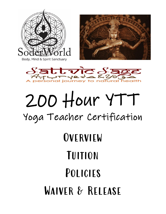





# 200 Hour YTT Yoga Teacher Certification

## **OVERVIEW** Tuition Policies WAIVER & RELEASE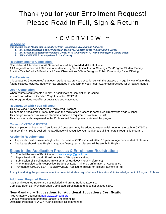## Thank you for your Enrollment Request! Please Read in Full, Sign & Return

### $\sim$  O V F R V I F W

#### **CLASSES:**

*Choose the Class Model that is Right For You ~ Session is Available as Follows:* 

- *1. In-Person at Sattvic Sage Ayurveda in Buckeye, AZ (with some Hybrid Online Dates)*
- *2. In-Person at Soderworld Wellness Center in in Willowbrook IL (with some Hybrid Online Dates)*
- *3. FULLY ONLINE from anywhere in the Country*

#### **Requirements for Completion:**

Completion & Attendance of All Session Hours & Any Needed Make Up Hours All Assigned Homework / 20-Class Attendance Log / Meditation Journal Sharing / Mid-Program Student Survey Practice Teach-Backs & Feedback / Class Observations / Class Designs / Public Community Class Offering

#### **Pre-Requisite:**

It is suggested (not required) that each student has previous experience with the practice of Yoga by way of attending Āsana classes, lectures, inquiry or has engaged in any form of yoga / self-awareness practices for at least 6 months.

#### **Upon Completion:**

When course requirements are met, a "Certificate of Completion" is issued. You are considered a Certified Yoga Instructor: CYT200 The Program does not offer or guarantee Job Placement

#### **Registration with Yoga Alliance:**

This is a Yoga Alliance Approved / Registered Program To become a 'Registered' Yoga Instructor, the registration process is completed directly with Yoga Alliance. This program exceeds minimum standard education requirements obtain RYT200. This process is also explained in the Professional Development portion of the program.

#### **Current CYT200 & RYT200:**

The completion of hours and Certificate of Completion may be added to experiential hours on the path to CYT500 / RYT500. If RYT500 is desired, Yoga Alliance will recognize your additional training hours through this program.

#### **Academic Requirement:**

- Applicants must possess a high school diploma or GED and must attain 18 years of age prior to start of classes
- Applicants should have English language fluency, as all classes will be taught in English

#### **Steps in the Application Process & Enrollment Registration:**

- 1. Emailed Request of Participation to sattvicsage@gmail.com
- 2. Reply Email will contain Enrollment Form / Program Handbook
- 3. Submission of Enrollment Form via email or Hardcopy (Your Preference)
- 4. Phone Interview with Prospective Student by Lead Trainer / Confirmation of Acceptance
- 5. Payment of \$500.00 SEAT RESERVATION (Applied to Tuition) or Tuition Payment in Full

At anytime during the process above, the potential student signs/returns Attestation & Acknowledgement of Program Policies

#### **Additional Required Books:**

Additional Required Books are not included and are at Student Expense.

Complete Book List Provided Upon Completed Enrollment and does not exceed \$100.

#### **Non-Mandatory Suggestions for Additional Education / Certification:**

Free Anatomy Courses at [http://www.corsera.org](http://www.corsera.org/) Various workshops to enhance Sanskrit understanding Obtaining Personal AHA CPR Certification is Recommended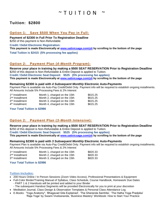## $\sim$  T U I T I O N

#### **Tuition: \$2800**

#### **Option 1: Save \$500 When You Pay in Full:**

**Payment of \$2300 in Full Prior To Registration Deadline**

\$250 of this payment is Non-Refundable

**Credit / Debit Electronic Registration:** 

**This payment is made Electronically at [www.sattvicsage.com/ytt](http://www.sattvicsage.com/ytt) by scrolling to the bottom of the page**

**Total Tuition is \$2415 (5% processing fee applies)**

#### **Option 2: Payment Plan (***4-Month Program***):**

**Reserve your place in training by making a \$500 SEAT RESERVATION Prior to Registration Deadline** \$250 of this deposit is Non-Refundable & Entire Deposit is applied to Tuition. **Credit / Debit Electronic Seat Deposit: \$525 (5% processing fee applies) This payment is made Electronically at [www.sattvicsage.com/ytt](http://www.sattvicsage.com/ytt) by scrolling to the bottom of the page**

#### **Remaining \$2300 is paid with** *4 Subsequent Monthly* **Electronic Auto-Payments**

Payment Plan is available via Auto-Pay Credit/Debit Only. Payment info will be required to establish ongoing installments. All Amounts Include 5% Processing Fees & 2% Interest

| 1 <sup>st</sup> Installment: | Month 1, charged on the 15th | \$615.25 |
|------------------------------|------------------------------|----------|
| $2nd$ Installment            | Month 2, charged on the 15th | \$615.25 |
| 3rd Installment              | Month 3, charged on the 15th | \$615.25 |
| 4 <sup>th</sup> Installment  | Month 4, charged on the 15th | \$615.25 |

#### **Your Total Tuition is \$2986**

#### **Option 2: Payment Plan (***3-Month Intensive***):**

**Reserve your place in training by making a \$500 SEAT RESERVATION Prior to Registration Deadline** \$250 of this deposit is Non-Refundable & Entire Deposit is applied to Tuition. **Credit / Debit Electronic Seat Deposit: \$525 (5% processing fee applies)**

**This payment is made Electronically at [www.sattvicsage.com/ytt](http://www.sattvicsage.com/ytt) by scrolling to the bottom of the page**

#### **Remaining \$2300 is paid with** *3 Subsequent Monthly* **Electronic Auto-Payments**

Payment Plan is available via Auto-Pay Credit/Debit Only. Payment info will be required to establish ongoing installments. All Amounts Include 5% Processing Fees & 2% Interest

| 1 <sup>st</sup> Installment: | Month 1, charged on the 15th | \$820.33 |
|------------------------------|------------------------------|----------|
| 2 <sup>nd</sup> Installment  | Month 2, charged on the 15th | \$820.33 |
| 3 <sup>rd</sup> Installment  | Month 3, charged on the 15th | \$820.33 |

#### **Your Total Tuition is \$2986**

#### **Tuition Includes:**

- 200 Hours Online / In Person Sessions (Zoom Video Access), Professional Presentations & Equipment
- Full-Color Binder/Training Manual of Syllabus, Class Schedule, Course Handbook, Homework Due Dates - PART 1 & 2 Handouts will be printed and added to your Binder
- The subsequent Handout Segments will be provided Electronically for you to print at your discretion
- Meditation Journal, Class Design & Observation Templates & Personal Class Attendance Log
- E-Books: 'Yoga Anatomy", 'Bhagavad Gita Explained', 'The Gheranda Samhita', 'The Hatha Yoga Pradpika' 'Raja Yoga' by Swami Vivekananda, 'Business Mastery' Workbook: How to Start Your Practice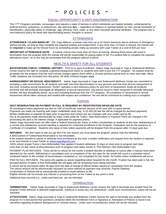### POLICIES ~

#### **EQUAL OPPORTUNITY & ANTI-DISCRIMINATION**

This YTT Programs provides, encourages and requires a state of fairness in which individuals are treated similarly, unhampered by artificial barriers, prejudices, or preferences. We welcome **ALL** – regardless of religious or spiritual beliefs (or not), sexual orientation or identification, physically ability or challenge, age, ethnicity, race, caste, or any other important personal attributes. The program also a zero-tolerance policy for those with discriminating words, thoughts or actions.

#### **ATTENDANCE**

*ATTENDANCE / CLASS MAKE-UP: Per Yoga Alliance*, a trainee may miss up to 10 Hours maximum due to sickness or emergency without penalty, as long as they complete the required reading and assignments. If any more than 10 hours is missed, the trainee will be **required** to make-up the missed hours by scheduling private make-up sessions with Lead Trainer at a cost of \$25 per hour.

*IMPORTANT ATTENDANCE NOTE:* A trainee cannot miss more than 40 hours of training. Missing these hours will result in termination from the program AND the trainee will still be responsible for paying tuition in full. If a student fails to complete the required attendance hours, he or she may be terminated from the program without a refund.

#### **HEALTH & SAFETY FOR ALL STUDENTS**

*BACKGROUND CHECK / CRIMINAL HISTORY:* Prior to or upon Enrollment, Sattvic Sage Ayurveda & Yoga & Soderworld Wellness Center reserve the right to complete a general background check on students who wish to join the YTT program. No student shall be accepted into the program that has had criminal charges against them within a 10-year previous period prior to class start date. Minor Traffic violations are excluded from this policy. All other criminal charges apply.

*HARRASSMENT OR SEXUAL MISCONDUCT:* Sattvic Sage Ayurveda & Yoga and Soderworld Wellness Center are committed to providing a safe environment for all students and staff, free from discrimination on any grounds and free from all from harassment of any kind, including sexual harassment. SSA&Y operates a zero-tolerance policy for any form of harassment, treats all incidents seriously and will promptly investigate all allegations of sexual harassment. Any person found to have harassed or sexually harassed another will face disciplinary action, up to and including dismissal from the YTT program. All complaints of harassment or sexual harassment will be taken seriously and treated with respect and confidence. No one will be victimized for making such a complaint.

#### **TUITION**

#### *SEAT RESERVATION OR PAYMENT IN FULL IS REQUIRED BY REGISTRATION DEADLINE DATE*

All subsequent tuition payments are due on 15th of month per selected session of the year with no grace period. Payments are made via AutoPay with major credit/debit cards only. A US \$25.00 late fee will be charged for declined payments. Written Notification is required 30 days prior to payment due *if there are any changes with your credit card on file.* Any & All payments made electronically by major credit cards for Tuition, Seat Reservation or Payment Plans are charged a 5% processing fee (and a 2% interest charge, if applicable for payment plans).

Sattvic Sage Ayurveda does not offer state or federal financial aid, loans, or tuition scholarships to students at this time. Maintenance of a current and satisfactory account standing is required for continued enrollment in the Program, Graduation and for the issuance of Certificate of Completion. Students who lapse in their tuition payments will be dropped from the program after 15 days past due.

*REFUNDS:* We don't want to see you go! But if for any reason you must leave the program, please note the following: A \$250 portion of Tuition/Seat Reservation is not refundable.

If the student decides to cancel or withdraw from enrollment at any time, a written notification and request from the student is required to be sent directly to Lead Trainer a[t sattvicsage@gmail.com](mailto:sattvicsage@gmail.com)

100% refund of paid Tuition (-Non-Refundable Fee) applies if student withdraws 15 days or more prior to program start date.

Less than 15 day notice of discontinuation prior to program start dates results in 75% Refund (-Non Refundable Fee).

PAYMENT PLAN REFUNDS: There will be no refund for the month if student decides to withdraw or cancel after 2 classes have been attended for the month. Withdrawal or cancellation prior to completion of the 3rd class for the month will result in a prorated refund computed based on the number of hours/classes completed vs. not completed for the month. No further tuition installments will occur.

PAID IN FULL REFUNDS: The same info applies as above regarding tuition required for the month. If tuition has been paid in full, the prorated portion of tuition & Non-Refundable fee will apply with all remaining hours being refunded.

A refund will be processed within 30 days from the date of receipt of official written request of cancellation from the student.

The refund amount will be electronically refunded via same method as payment was received: PayPal Gateway.

Confirmation of Refund will be automatically emailed to email address on file.

Eligible refunds will not include any interest or processing fees on the Tuition at any point in time.

Additional fees incurred (i.e., credit card fees) etc. are not refunded.

#### **TERMINATION**

*TERMINATION:* Sattvic Sage Ayurveda & Yoga & Soderworld Wellness Center reserve the right to terminate any student from the program if their behavior is deemed inappropriate, unethical or poses any risk whatsoever. Under such circumstances, tuition will not be refunded.

*ATTESTATION:* Sattvic Sage Ayurveda & Yoga & Soderworld Wellness Center reserve the right to terminate any student from the program if it is discovered that questions contained within the Enrollment Form or Signature to Attestation of Policies is found to be untruthful regarding Academic Background or Criminal History. Under such circumstances, tuition will not be refunded.